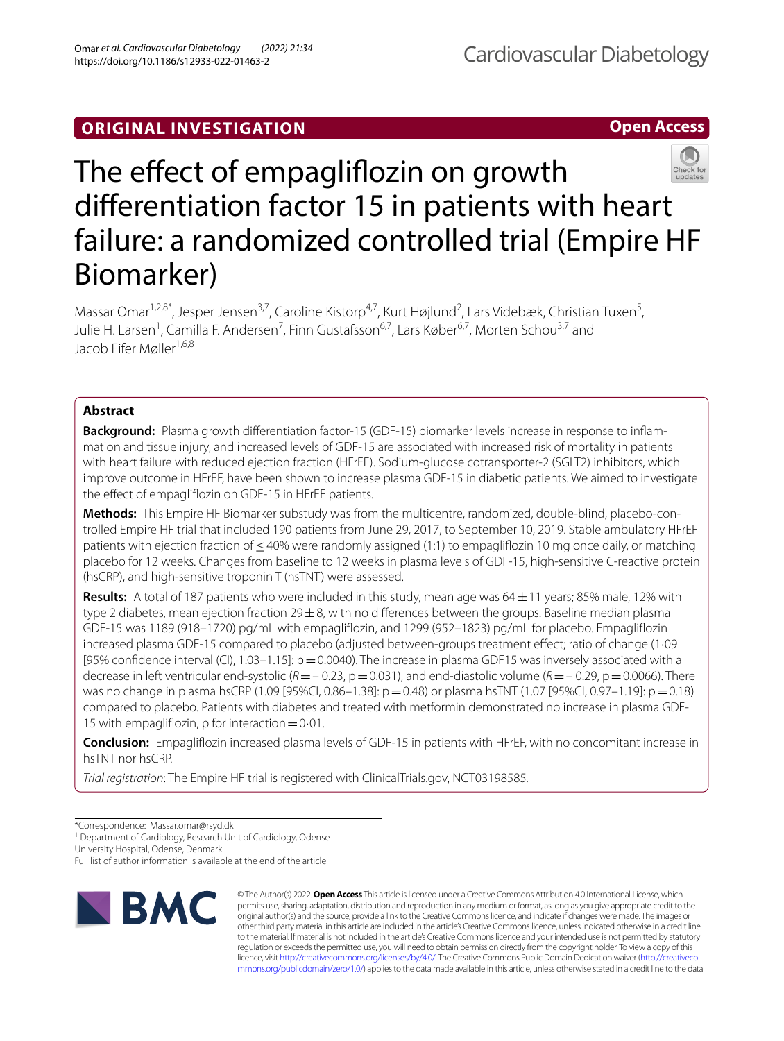# **ORIGINAL INVESTIGATION**

**Open Access**



# The effect of empagliflozin on growth diferentiation factor 15 in patients with heart failure: a randomized controlled trial (Empire HF Biomarker)

Massar Omar<sup>1,2,8\*</sup>, Jesper Jensen<sup>3,7</sup>, Caroline Kistorp<sup>4,7</sup>, Kurt Højlund<sup>2</sup>, Lars Videbæk, Christian Tuxen<sup>5</sup>, Julie H. Larsen<sup>1</sup>, Camilla F. Andersen<sup>7</sup>, Finn Gustafsson<sup>6,7</sup>, Lars Køber<sup>6,7</sup>, Morten Schou<sup>3,7</sup> and Jacob Eifer Møller1,6,8

# **Abstract**

**Background:** Plasma growth diferentiation factor-15 (GDF-15) biomarker levels increase in response to infammation and tissue injury, and increased levels of GDF-15 are associated with increased risk of mortality in patients with heart failure with reduced ejection fraction (HFrEF). Sodium-glucose cotransporter-2 (SGLT2) inhibitors, which improve outcome in HFrEF, have been shown to increase plasma GDF-15 in diabetic patients. We aimed to investigate the effect of empagliflozin on GDF-15 in HFrEF patients.

**Methods:** This Empire HF Biomarker substudy was from the multicentre, randomized, double-blind, placebo-controlled Empire HF trial that included 190 patients from June 29, 2017, to September 10, 2019. Stable ambulatory HFrEF patients with ejection fraction of ≤40% were randomly assigned (1:1) to empagliflozin 10 mg once daily, or matching placebo for 12 weeks. Changes from baseline to 12 weeks in plasma levels of GDF-15, high-sensitive C-reactive protein (hsCRP), and high-sensitive troponin T (hsTNT) were assessed.

**Results:** A total of 187 patients who were included in this study, mean age was 64 ± 11 years; 85% male, 12% with type 2 diabetes, mean ejection fraction  $29 \pm 8$ , with no differences between the groups. Baseline median plasma GDF-15 was 1189 (918–1720) pg/mL with empaglifozin, and 1299 (952–1823) pg/mL for placebo. Empaglifozin increased plasma GDF-15 compared to placebo (adjusted between-groups treatment efect; ratio of change (1·09 [95% confidence interval (CI), 1.03–1.15]:  $p = 0.0040$ ). The increase in plasma GDF15 was inversely associated with a decrease in left ventricular end-systolic ( $R = -0.23$ ,  $p = 0.031$ ), and end-diastolic volume ( $R = -0.29$ ,  $p = 0.0066$ ). There was no change in plasma hsCRP (1.09 [95%CI, 0.86–1.38]: p=0.48) or plasma hsTNT (1.07 [95%CI, 0.97–1.19]: p=0.18) compared to placebo. Patients with diabetes and treated with metformin demonstrated no increase in plasma GDF-15 with empagliflozin, p for interaction  $=0.01$ .

**Conclusion:** Empaglifozin increased plasma levels of GDF-15 in patients with HFrEF, with no concomitant increase in hsTNT nor hsCRP.

*Trial registration*: The Empire HF trial is registered with ClinicalTrials.gov, NCT03198585*.*

<sup>1</sup> Department of Cardiology, Research Unit of Cardiology, Odense

University Hospital, Odense, Denmark

Full list of author information is available at the end of the article



© The Author(s) 2022. **Open Access** This article is licensed under a Creative Commons Attribution 4.0 International License, which permits use, sharing, adaptation, distribution and reproduction in any medium or format, as long as you give appropriate credit to the original author(s) and the source, provide a link to the Creative Commons licence, and indicate if changes were made. The images or other third party material in this article are included in the article's Creative Commons licence, unless indicated otherwise in a credit line to the material. If material is not included in the article's Creative Commons licence and your intended use is not permitted by statutory regulation or exceeds the permitted use, you will need to obtain permission directly from the copyright holder. To view a copy of this licence, visit [http://creativecommons.org/licenses/by/4.0/.](http://creativecommons.org/licenses/by/4.0/) The Creative Commons Public Domain Dedication waiver ([http://creativeco](http://creativecommons.org/publicdomain/zero/1.0/) [mmons.org/publicdomain/zero/1.0/](http://creativecommons.org/publicdomain/zero/1.0/)) applies to the data made available in this article, unless otherwise stated in a credit line to the data.

<sup>\*</sup>Correspondence: Massar.omar@rsyd.dk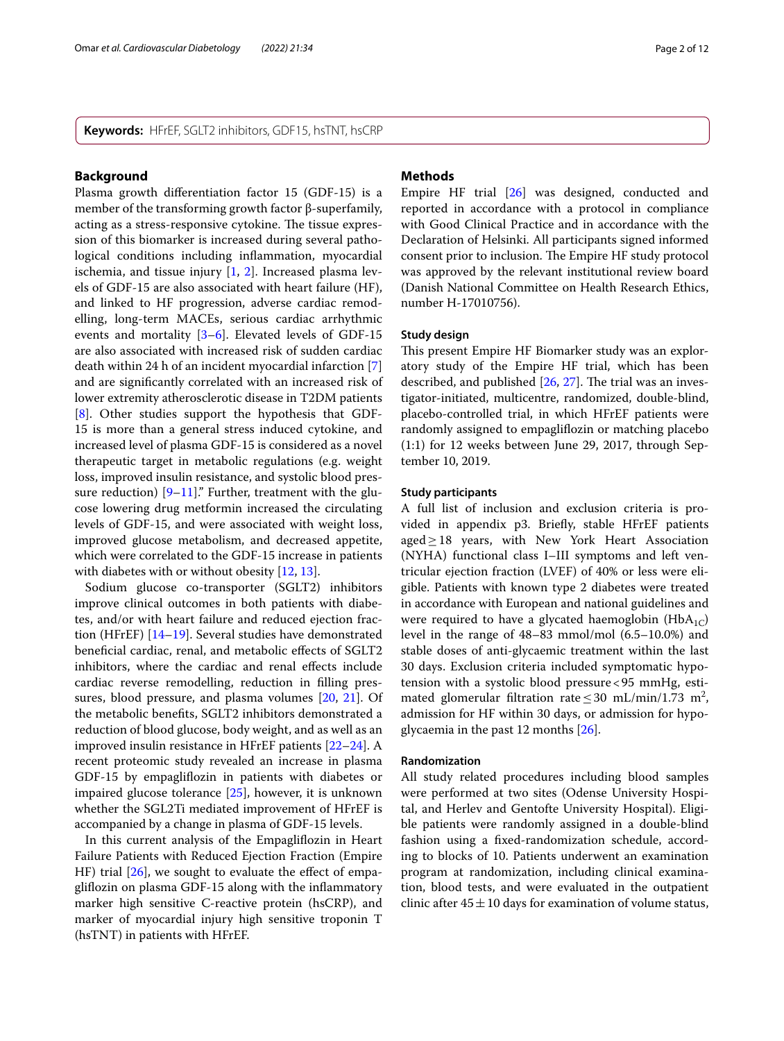**Keywords:** HFrEF, SGLT2 inhibitors, GDF15, hsTNT, hsCRP

#### **Background**

Plasma growth diferentiation factor 15 (GDF-15) is a member of the transforming growth factor β-superfamily, acting as a stress-responsive cytokine. The tissue expression of this biomarker is increased during several pathological conditions including infammation, myocardial ischemia, and tissue injury [\[1](#page-10-0), [2\]](#page-10-1). Increased plasma levels of GDF-15 are also associated with heart failure (HF), and linked to HF progression, adverse cardiac remodelling, long-term MACEs, serious cardiac arrhythmic events and mortality [[3–](#page-10-2)[6\]](#page-10-3). Elevated levels of GDF-15 are also associated with increased risk of sudden cardiac death within 24 h of an incident myocardial infarction [\[7](#page-10-4)] and are signifcantly correlated with an increased risk of lower extremity atherosclerotic disease in T2DM patients [[8\]](#page-10-5). Other studies support the hypothesis that GDF-15 is more than a general stress induced cytokine, and increased level of plasma GDF-15 is considered as a novel therapeutic target in metabolic regulations (e.g. weight loss, improved insulin resistance, and systolic blood pressure reduction)  $[9-11]$  $[9-11]$ ." Further, treatment with the glucose lowering drug metformin increased the circulating levels of GDF-15, and were associated with weight loss, improved glucose metabolism, and decreased appetite, which were correlated to the GDF-15 increase in patients with diabetes with or without obesity [[12,](#page-10-8) [13](#page-10-9)].

Sodium glucose co-transporter (SGLT2) inhibitors improve clinical outcomes in both patients with diabetes, and/or with heart failure and reduced ejection fraction (HFrEF) [\[14](#page-10-10)[–19\]](#page-11-0). Several studies have demonstrated benefcial cardiac, renal, and metabolic efects of SGLT2 inhibitors, where the cardiac and renal efects include cardiac reverse remodelling, reduction in flling pressures, blood pressure, and plasma volumes [[20,](#page-11-1) [21\]](#page-11-2). Of the metabolic benefts, SGLT2 inhibitors demonstrated a reduction of blood glucose, body weight, and as well as an improved insulin resistance in HFrEF patients [\[22–](#page-11-3)[24\]](#page-11-4). A recent proteomic study revealed an increase in plasma GDF-15 by empaglifozin in patients with diabetes or impaired glucose tolerance [[25\]](#page-11-5), however, it is unknown whether the SGL2Ti mediated improvement of HFrEF is accompanied by a change in plasma of GDF-15 levels.

In this current analysis of the Empaglifozin in Heart Failure Patients with Reduced Ejection Fraction (Empire HF) trial  $[26]$  $[26]$ , we sought to evaluate the effect of empaglifozin on plasma GDF-15 along with the infammatory marker high sensitive C-reactive protein (hsCRP), and marker of myocardial injury high sensitive troponin T (hsTNT) in patients with HFrEF.

#### **Methods**

Empire HF trial [[26\]](#page-11-6) was designed, conducted and reported in accordance with a protocol in compliance with Good Clinical Practice and in accordance with the Declaration of Helsinki. All participants signed informed consent prior to inclusion. The Empire HF study protocol was approved by the relevant institutional review board (Danish National Committee on Health Research Ethics, number H-17010756).

## **Study design**

This present Empire HF Biomarker study was an exploratory study of the Empire HF trial, which has been described, and published  $[26, 27]$  $[26, 27]$  $[26, 27]$ . The trial was an investigator-initiated, multicentre, randomized, double-blind, placebo-controlled trial, in which HFrEF patients were randomly assigned to empaglifozin or matching placebo (1:1) for 12 weeks between June 29, 2017, through September 10, 2019.

# **Study participants**

A full list of inclusion and exclusion criteria is provided in appendix p3. Briefy, stable HFrEF patients aged≥18 years, with New York Heart Association (NYHA) functional class I–III symptoms and left ventricular ejection fraction (LVEF) of 40% or less were eligible. Patients with known type 2 diabetes were treated in accordance with European and national guidelines and were required to have a glycated haemoglobin (HbA<sub>1C</sub>) level in the range of 48–83 mmol/mol (6.5–10.0%) and stable doses of anti-glycaemic treatment within the last 30 days. Exclusion criteria included symptomatic hypotension with a systolic blood pressure<95 mmHg, estimated glomerular filtration rate  $\leq$  30 mL/min/1.73 m<sup>2</sup>, admission for HF within 30 days, or admission for hypoglycaemia in the past 12 months [\[26](#page-11-6)].

#### **Randomization**

All study related procedures including blood samples were performed at two sites (Odense University Hospital, and Herlev and Gentofte University Hospital). Eligible patients were randomly assigned in a double-blind fashion using a fxed-randomization schedule, according to blocks of 10. Patients underwent an examination program at randomization, including clinical examination, blood tests, and were evaluated in the outpatient clinic after  $45 \pm 10$  days for examination of volume status,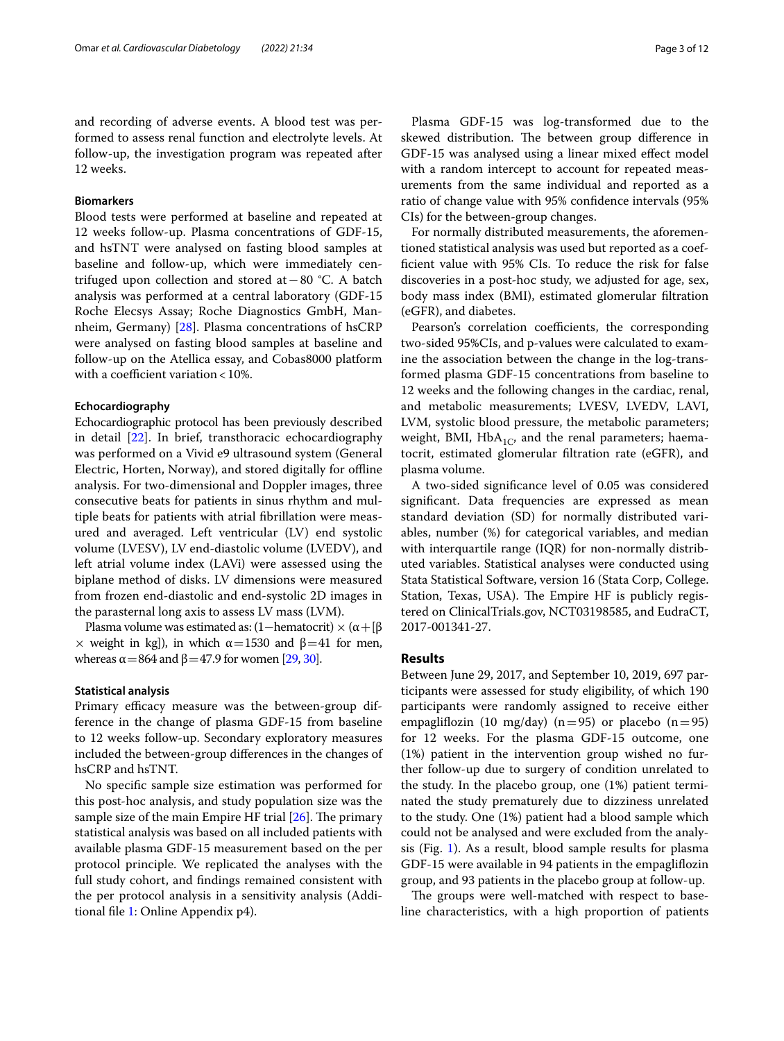and recording of adverse events. A blood test was performed to assess renal function and electrolyte levels. At follow-up, the investigation program was repeated after 12 weeks.

# **Biomarkers**

Blood tests were performed at baseline and repeated at 12 weeks follow-up. Plasma concentrations of GDF-15, and hsTNT were analysed on fasting blood samples at baseline and follow-up, which were immediately centrifuged upon collection and stored at−80 °C. A batch analysis was performed at a central laboratory (GDF-15 Roche Elecsys Assay; Roche Diagnostics GmbH, Mannheim, Germany) [\[28](#page-11-8)]. Plasma concentrations of hsCRP were analysed on fasting blood samples at baseline and follow-up on the Atellica essay, and Cobas8000 platform with a coefficient variation  $<10\%$ .

#### **Echocardiography**

Echocardiographic protocol has been previously described in detail [[22\]](#page-11-3). In brief, transthoracic echocardiography was performed on a Vivid e9 ultrasound system (General Electric, Horten, Norway), and stored digitally for ofine analysis. For two-dimensional and Doppler images, three consecutive beats for patients in sinus rhythm and multiple beats for patients with atrial fbrillation were measured and averaged. Left ventricular (LV) end systolic volume (LVESV), LV end-diastolic volume (LVEDV), and left atrial volume index (LAVi) were assessed using the biplane method of disks. LV dimensions were measured from frozen end-diastolic and end-systolic 2D images in the parasternal long axis to assess LV mass (LVM).

Plasma volume was estimated as:  $(1 -$ hematocrit $) \times (\alpha + \beta)$  $\times$  weight in kg]), in which α=1530 and β=41 for men, whereas  $\alpha$  = 864 and  $\beta$  = 47.9 for women [\[29](#page-11-9), [30\]](#page-11-10).

#### **Statistical analysis**

Primary efficacy measure was the between-group difference in the change of plasma GDF-15 from baseline to 12 weeks follow-up. Secondary exploratory measures included the between-group diferences in the changes of hsCRP and hsTNT.

No specifc sample size estimation was performed for this post-hoc analysis, and study population size was the sample size of the main Empire HF trial  $[26]$  $[26]$  $[26]$ . The primary statistical analysis was based on all included patients with available plasma GDF-15 measurement based on the per protocol principle. We replicated the analyses with the full study cohort, and fndings remained consistent with the per protocol analysis in a sensitivity analysis (Additional fle [1](#page-9-0): Online Appendix p4).

Plasma GDF-15 was log-transformed due to the skewed distribution. The between group difference in GDF-15 was analysed using a linear mixed efect model with a random intercept to account for repeated measurements from the same individual and reported as a ratio of change value with 95% confdence intervals (95% CIs) for the between-group changes.

For normally distributed measurements, the aforementioned statistical analysis was used but reported as a coeffcient value with 95% CIs. To reduce the risk for false discoveries in a post-hoc study, we adjusted for age, sex, body mass index (BMI), estimated glomerular fltration (eGFR), and diabetes.

Pearson's correlation coefficients, the corresponding two-sided 95%CIs, and p-values were calculated to examine the association between the change in the log-transformed plasma GDF-15 concentrations from baseline to 12 weeks and the following changes in the cardiac, renal, and metabolic measurements; LVESV, LVEDV, LAVI, LVM, systolic blood pressure, the metabolic parameters; weight, BMI,  $HbA_{1C}$  and the renal parameters; haematocrit, estimated glomerular fltration rate (eGFR), and plasma volume.

A two-sided signifcance level of 0.05 was considered signifcant. Data frequencies are expressed as mean standard deviation (SD) for normally distributed variables, number (%) for categorical variables, and median with interquartile range (IQR) for non-normally distributed variables. Statistical analyses were conducted using Stata Statistical Software, version 16 (Stata Corp, College. Station, Texas, USA). The Empire HF is publicly registered on ClinicalTrials.gov, NCT03198585, and EudraCT, 2017-001341-27.

# **Results**

Between June 29, 2017, and September 10, 2019, 697 participants were assessed for study eligibility, of which 190 participants were randomly assigned to receive either empagliflozin (10 mg/day) (n=95) or placebo (n=95) for 12 weeks. For the plasma GDF-15 outcome, one (1%) patient in the intervention group wished no further follow-up due to surgery of condition unrelated to the study. In the placebo group, one (1%) patient terminated the study prematurely due to dizziness unrelated to the study. One (1%) patient had a blood sample which could not be analysed and were excluded from the analysis (Fig. [1\)](#page-3-0). As a result, blood sample results for plasma GDF-15 were available in 94 patients in the empaglifozin group, and 93 patients in the placebo group at follow-up.

The groups were well-matched with respect to baseline characteristics, with a high proportion of patients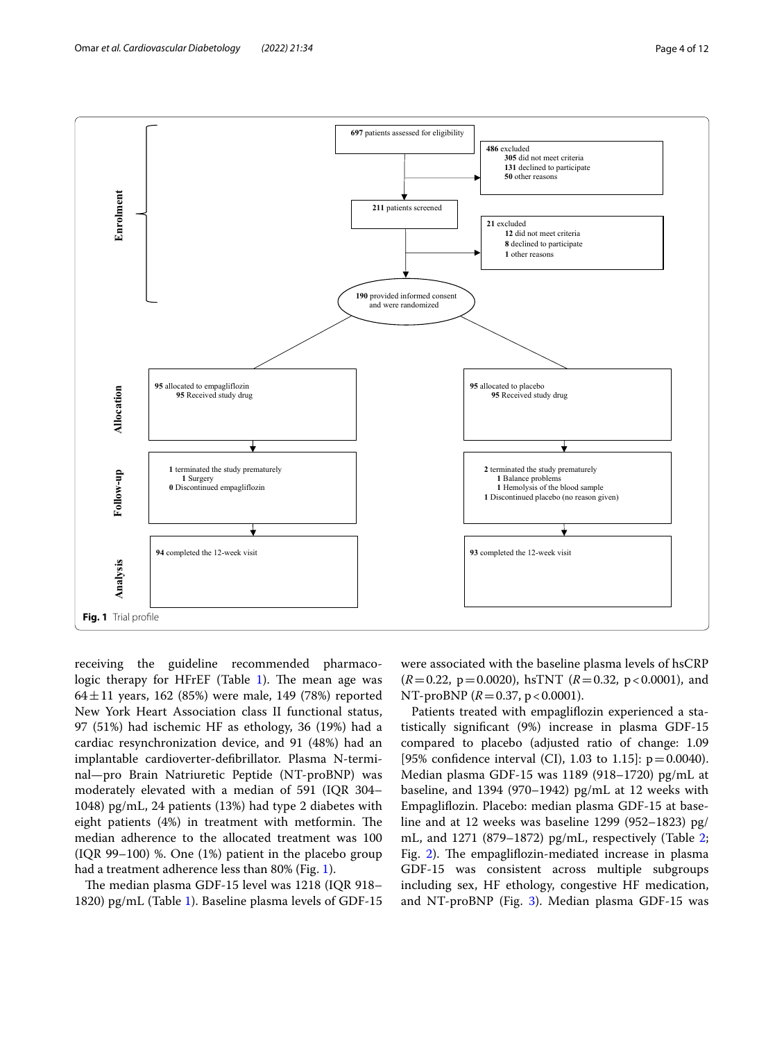

<span id="page-3-0"></span>receiving the guideline recommended pharmacologic therapy for HFrEF (Table  $1$ ). The mean age was  $64 \pm 11$  years, 162 (85%) were male, 149 (78%) reported New York Heart Association class II functional status, 97 (51%) had ischemic HF as ethology, 36 (19%) had a cardiac resynchronization device, and 91 (48%) had an implantable cardioverter-defbrillator. Plasma N-terminal—pro Brain Natriuretic Peptide (NT-proBNP) was moderately elevated with a median of 591 (IQR 304– 1048) pg/mL, 24 patients (13%) had type 2 diabetes with eight patients  $(4%)$  in treatment with metformin. The median adherence to the allocated treatment was 100 (IQR 99–100) %. One (1%) patient in the placebo group had a treatment adherence less than 80% (Fig. [1\)](#page-3-0).

The median plasma GDF-15 level was 1218 (IOR 918– 1820) pg/mL (Table [1](#page-4-0)). Baseline plasma levels of GDF-15

were associated with the baseline plasma levels of hsCRP  $(R=0.22, p=0.0020)$ , hsTNT  $(R=0.32, p<0.0001)$ , and NT-proBNP ( $R = 0.37$ ,  $p < 0.0001$ ).

Patients treated with empagliflozin experienced a statistically signifcant (9%) increase in plasma GDF-15 compared to placebo (adjusted ratio of change: 1.09 [95% confidence interval (CI), 1.03 to 1.15]:  $p = 0.0040$ ). Median plasma GDF-15 was 1189 (918–1720) pg/mL at baseline, and 1394 (970–1942) pg/mL at 12 weeks with Empaglifozin. Placebo: median plasma GDF-15 at baseline and at 12 weeks was baseline 1299 (952–1823) pg/ mL, and 1271 (879–1872) pg/mL, respectively (Table [2](#page-6-0); Fig. [2\)](#page-7-0). The empagliflozin-mediated increase in plasma GDF-15 was consistent across multiple subgroups including sex, HF ethology, congestive HF medication, and NT-proBNP (Fig. [3\)](#page-8-0). Median plasma GDF-15 was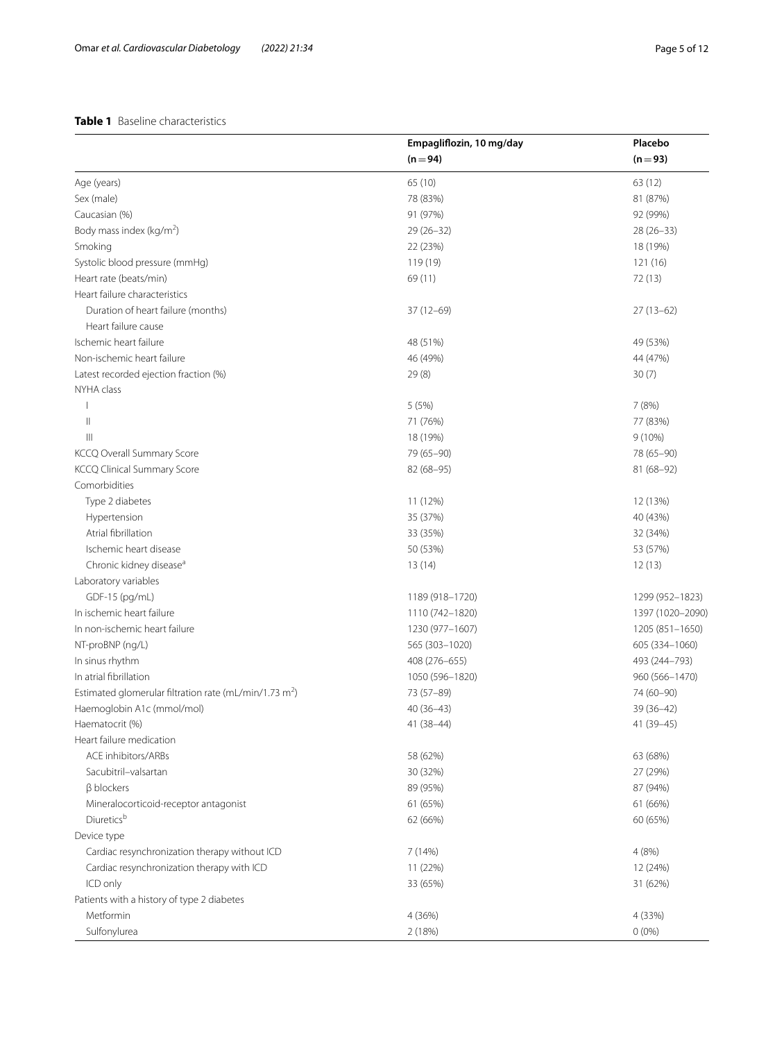# <span id="page-4-0"></span>**Table 1** Baseline characteristics

|                                                                    | Empagliflozin, 10 mg/day | Placebo          |  |
|--------------------------------------------------------------------|--------------------------|------------------|--|
|                                                                    | $(n = 94)$               | $(n=93)$         |  |
| Age (years)                                                        | 65 (10)                  | 63 (12)          |  |
| Sex (male)                                                         | 78 (83%)                 | 81 (87%)         |  |
| Caucasian (%)                                                      | 91 (97%)                 | 92 (99%)         |  |
| Body mass index (kg/m <sup>2</sup> )                               | $29(26-32)$              | $28(26-33)$      |  |
| Smoking                                                            | 22 (23%)                 | 18 (19%)         |  |
| Systolic blood pressure (mmHg)                                     | 119 (19)                 | 121 (16)         |  |
| Heart rate (beats/min)                                             | 69 (11)                  | 72 (13)          |  |
| Heart failure characteristics                                      |                          |                  |  |
| Duration of heart failure (months)                                 | $37(12 - 69)$            | $27(13-62)$      |  |
| Heart failure cause                                                |                          |                  |  |
| Ischemic heart failure                                             | 48 (51%)                 | 49 (53%)         |  |
| Non-ischemic heart failure                                         | 46 (49%)                 | 44 (47%)         |  |
| Latest recorded ejection fraction (%)                              | 29(8)                    | 30(7)            |  |
| NYHA class                                                         |                          |                  |  |
|                                                                    | 5 (5%)                   | 7(8%)            |  |
| $\parallel$                                                        | 71 (76%)                 | 77 (83%)         |  |
| $\mathbb{H}$                                                       | 18 (19%)                 | $9(10\%)$        |  |
| KCCQ Overall Summary Score                                         | 79 (65-90)               | 78 (65-90)       |  |
| KCCQ Clinical Summary Score                                        | 82 (68-95)               | 81 (68-92)       |  |
| Comorbidities                                                      |                          |                  |  |
| Type 2 diabetes                                                    | 11 (12%)                 | 12 (13%)         |  |
| Hypertension                                                       | 35 (37%)                 | 40 (43%)         |  |
| Atrial fibrillation                                                | 33 (35%)                 | 32 (34%)         |  |
| Ischemic heart disease                                             | 50 (53%)                 | 53 (57%)         |  |
| Chronic kidney disease <sup>a</sup>                                | 13(14)                   | 12(13)           |  |
| Laboratory variables                                               |                          |                  |  |
| GDF-15 (pg/mL)                                                     | 1189 (918-1720)          | 1299 (952-1823)  |  |
| In ischemic heart failure                                          | 1110 (742-1820)          | 1397 (1020-2090) |  |
| In non-ischemic heart failure                                      | 1230 (977-1607)          | 1205 (851-1650)  |  |
| NT-proBNP (ng/L)                                                   | 565 (303-1020)           | 605 (334-1060)   |  |
| In sinus rhythm                                                    | 408 (276-655)            | 493 (244-793)    |  |
| In atrial fibrillation                                             | 1050 (596-1820)          | 960 (566-1470)   |  |
| Estimated glomerular filtration rate (mL/min/1.73 m <sup>2</sup> ) | 73 (57-89)               | 74 (60-90)       |  |
| Haemoglobin A1c (mmol/mol)                                         | 40 (36-43)               | 39 (36-42)       |  |
| Haematocrit (%)                                                    | 41 (38-44)               | 41 (39-45)       |  |
| Heart failure medication                                           |                          |                  |  |
| ACE inhibitors/ARBs                                                | 58 (62%)                 | 63 (68%)         |  |
| Sacubitril-valsartan                                               | 30 (32%)                 | 27 (29%)         |  |
| $\beta$ blockers                                                   | 89 (95%)                 | 87 (94%)         |  |
| Mineralocorticoid-receptor antagonist                              | 61 (65%)                 | 61 (66%)         |  |
| Diureticsb                                                         | 62 (66%)                 | 60 (65%)         |  |
| Device type                                                        |                          |                  |  |
| Cardiac resynchronization therapy without ICD                      | 7 (14%)                  | 4(8%)            |  |
| Cardiac resynchronization therapy with ICD                         | 11 (22%)                 | 12 (24%)         |  |
| ICD only                                                           | 33 (65%)                 | 31 (62%)         |  |
| Patients with a history of type 2 diabetes                         |                          |                  |  |
| Metformin                                                          | 4 (36%)                  | 4 (33%)          |  |
| Sulfonylurea                                                       | 2(18%)                   | $0(0\%)$         |  |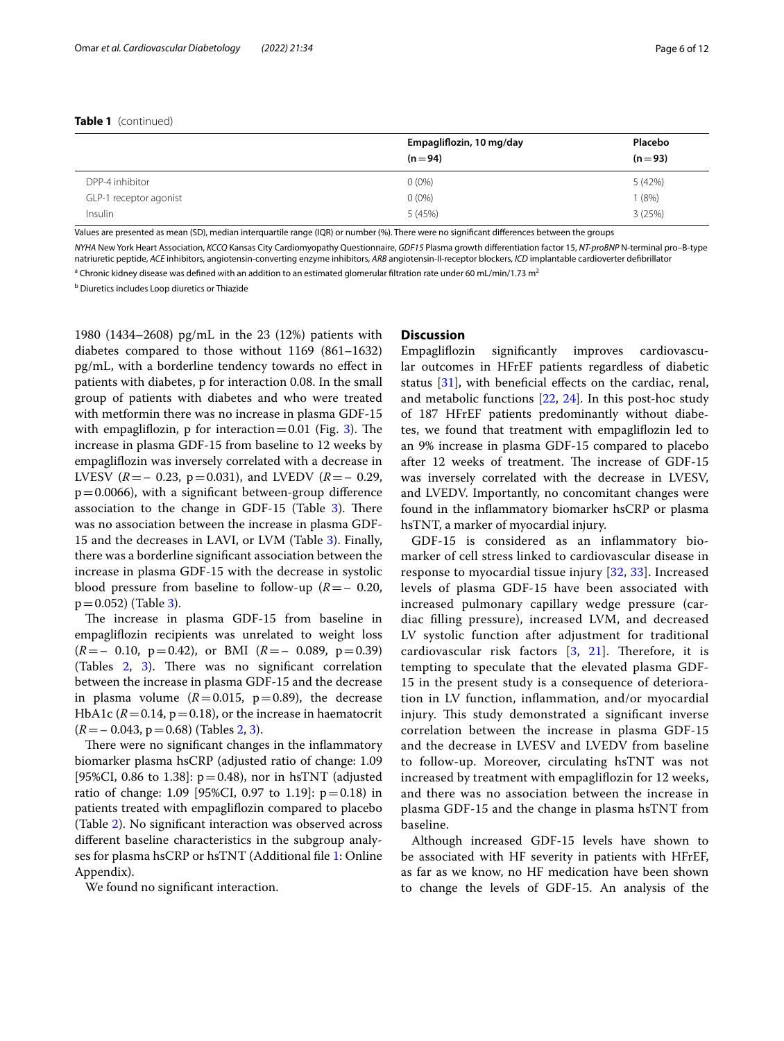#### **Table 1** (continued)

|                        | Empagliflozin, 10 mg/day | Placebo  |
|------------------------|--------------------------|----------|
|                        | $(n = 94)$               | $(n=93)$ |
| DPP-4 inhibitor        | $0(0\%)$                 | 5 (42%)  |
| GLP-1 receptor agonist | $0(0\%)$                 | (8%)     |
| Insulin                | 5(45%)                   | 3(25%)   |

Values are presented as mean (SD), median interquartile range (IQR) or number (%). There were no signifcant diferences between the groups

*NYHA* New York Heart Association, *KCCQ* Kansas City Cardiomyopathy Questionnaire, *GDF15* Plasma growth diferentiation factor 15, *NT-proBNP* N-terminal pro–B-type natriuretic peptide, *ACE* inhibitors, angiotensin-converting enzyme inhibitors, *ARB* angiotensin-II-receptor blockers, *ICD* implantable cardioverter defbrillator

 $^{\rm a}$  Chronic kidney disease was defined with an addition to an estimated glomerular filtration rate under 60 mL/min/1.73  $\rm m^2$ 

<sup>b</sup> Diuretics includes Loop diuretics or Thiazide

1980 (1434–2608) pg/mL in the 23 (12%) patients with diabetes compared to those without 1169 (861–1632) pg/mL, with a borderline tendency towards no efect in patients with diabetes, p for interaction 0.08. In the small group of patients with diabetes and who were treated with metformin there was no increase in plasma GDF-15 with empagliflozin, p for interaction=0.01 (Fig. [3](#page-8-0)). The increase in plasma GDF-15 from baseline to 12 weeks by empaglifozin was inversely correlated with a decrease in LVESV ( $R = -0.23$ ,  $p = 0.031$ ), and LVEDV ( $R = -0.29$ ,  $p=0.0066$ ), with a significant between-group difference association to the change in GDF-15 (Table  $3$ ). There was no association between the increase in plasma GDF-15 and the decreases in LAVI, or LVM (Table [3](#page-9-1)). Finally, there was a borderline signifcant association between the increase in plasma GDF-15 with the decrease in systolic blood pressure from baseline to follow-up (*R*=– 0.20,  $p=0.052$ ) (Table [3](#page-9-1)).

The increase in plasma GDF-15 from baseline in empaglifozin recipients was unrelated to weight loss  $(R=- 0.10, p=0.42)$ , or BMI  $(R=- 0.089, p=0.39)$ (Tables [2](#page-6-0), [3\)](#page-9-1). There was no significant correlation between the increase in plasma GDF-15 and the decrease in plasma volume  $(R=0.015, p=0.89)$ , the decrease HbA1c  $(R=0.14, p=0.18)$ , or the increase in haematocrit  $(R=-0.043, p=0.68)$  (Tables [2](#page-6-0), [3\)](#page-9-1).

There were no significant changes in the inflammatory biomarker plasma hsCRP (adjusted ratio of change: 1.09 [95%CI, 0.86 to 1.38]:  $p = 0.48$ ), nor in hsTNT (adjusted ratio of change: 1.09 [95%CI, 0.97 to 1.19]:  $p = 0.18$  in patients treated with empaglifozin compared to placebo (Table [2](#page-6-0)). No signifcant interaction was observed across diferent baseline characteristics in the subgroup analyses for plasma hsCRP or hsTNT (Additional fle [1:](#page-9-0) Online Appendix).

We found no signifcant interaction.

# **Discussion**

Empaglifozin signifcantly improves cardiovascular outcomes in HFrEF patients regardless of diabetic status  $[31]$  $[31]$ , with beneficial effects on the cardiac, renal, and metabolic functions  $[22, 24]$  $[22, 24]$  $[22, 24]$ . In this post-hoc study of 187 HFrEF patients predominantly without diabetes, we found that treatment with empaglifozin led to an 9% increase in plasma GDF-15 compared to placebo after 12 weeks of treatment. The increase of GDF-15 was inversely correlated with the decrease in LVESV, and LVEDV. Importantly, no concomitant changes were found in the infammatory biomarker hsCRP or plasma hsTNT, a marker of myocardial injury.

GDF-15 is considered as an infammatory biomarker of cell stress linked to cardiovascular disease in response to myocardial tissue injury [[32](#page-11-12), [33](#page-11-13)]. Increased levels of plasma GDF-15 have been associated with increased pulmonary capillary wedge pressure (cardiac flling pressure), increased LVM, and decreased LV systolic function after adjustment for traditional cardiovascular risk factors  $[3, 21]$  $[3, 21]$  $[3, 21]$  $[3, 21]$ . Therefore, it is tempting to speculate that the elevated plasma GDF-15 in the present study is a consequence of deterioration in LV function, infammation, and/or myocardial injury. This study demonstrated a significant inverse correlation between the increase in plasma GDF-15 and the decrease in LVESV and LVEDV from baseline to follow-up. Moreover, circulating hsTNT was not increased by treatment with empaglifozin for 12 weeks, and there was no association between the increase in plasma GDF-15 and the change in plasma hsTNT from baseline.

Although increased GDF-15 levels have shown to be associated with HF severity in patients with HFrEF, as far as we know, no HF medication have been shown to change the levels of GDF-15. An analysis of the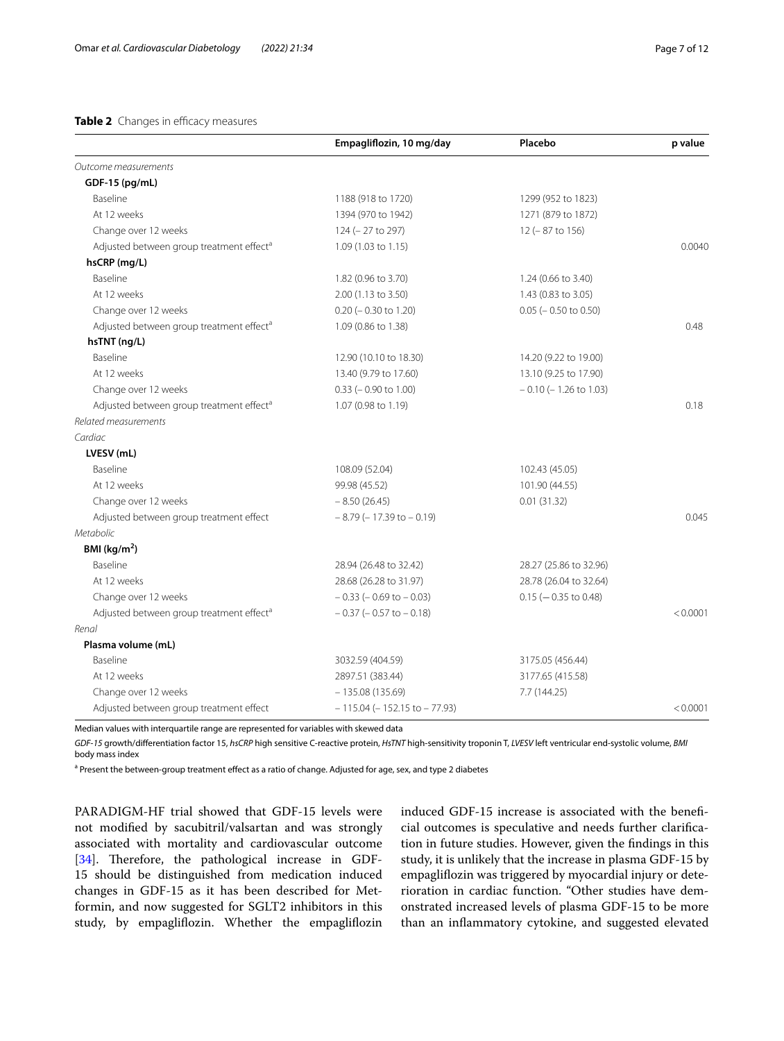# <span id="page-6-0"></span>**Table 2** Changes in efficacy measures

|                                                      | Empagliflozin, 10 mg/day        | Placebo                    | p value  |
|------------------------------------------------------|---------------------------------|----------------------------|----------|
| Outcome measurements                                 |                                 |                            |          |
| GDF-15 (pg/mL)                                       |                                 |                            |          |
| Baseline                                             | 1188 (918 to 1720)              | 1299 (952 to 1823)         |          |
| At 12 weeks                                          | 1394 (970 to 1942)              | 1271 (879 to 1872)         |          |
| Change over 12 weeks                                 | 124 (-27 to 297)                | 12 (-87 to 156)            |          |
| Adjusted between group treatment effect <sup>a</sup> | 1.09 (1.03 to 1.15)             |                            | 0.0040   |
| hsCRP (mg/L)                                         |                                 |                            |          |
| Baseline                                             | 1.82 (0.96 to 3.70)             | 1.24 (0.66 to 3.40)        |          |
| At 12 weeks                                          | 2.00 (1.13 to 3.50)             | 1.43 (0.83 to 3.05)        |          |
| Change over 12 weeks                                 | $0.20$ ( $-0.30$ to 1.20)       | $0.05$ ( $-0.50$ to 0.50)  |          |
| Adjusted between group treatment effect <sup>a</sup> | 1.09 (0.86 to 1.38)             |                            | 0.48     |
| hsTNT (ng/L)                                         |                                 |                            |          |
| Baseline                                             | 12.90 (10.10 to 18.30)          | 14.20 (9.22 to 19.00)      |          |
| At 12 weeks                                          | 13.40 (9.79 to 17.60)           | 13.10 (9.25 to 17.90)      |          |
| Change over 12 weeks                                 | $0.33 (-0.90 to 1.00)$          | $-0.10$ ( $-1.26$ to 1.03) |          |
| Adjusted between group treatment effect <sup>a</sup> | 1.07 (0.98 to 1.19)             |                            | 0.18     |
| Related measurements                                 |                                 |                            |          |
| Cardiac                                              |                                 |                            |          |
| LVESV (mL)                                           |                                 |                            |          |
| Baseline                                             | 108.09 (52.04)                  | 102.43 (45.05)             |          |
| At 12 weeks                                          | 99.98 (45.52)                   | 101.90 (44.55)             |          |
| Change over 12 weeks                                 | $-8.50(26.45)$                  | 0.01(31.32)                |          |
| Adjusted between group treatment effect              | $-8.79$ ( $-17.39$ to $-0.19$ ) |                            | 0.045    |
| <b>Metabolic</b>                                     |                                 |                            |          |
| BMI ( $\text{kg/m}^2$ )                              |                                 |                            |          |
| Baseline                                             | 28.94 (26.48 to 32.42)          | 28.27 (25.86 to 32.96)     |          |
| At 12 weeks                                          | 28.68 (26.28 to 31.97)          | 28.78 (26.04 to 32.64)     |          |
| Change over 12 weeks                                 | $-0.33$ ( $-0.69$ to $-0.03$ )  | $0.15$ ( $-0.35$ to 0.48)  |          |
| Adjusted between group treatment effect <sup>a</sup> | $-0.37$ ( $-0.57$ to $-0.18$ )  |                            | < 0.0001 |
| Renal                                                |                                 |                            |          |
| Plasma volume (mL)                                   |                                 |                            |          |
| Baseline                                             | 3032.59 (404.59)                | 3175.05 (456.44)           |          |
| At 12 weeks                                          | 2897.51 (383.44)                | 3177.65 (415.58)           |          |
| Change over 12 weeks                                 | $-135.08(135.69)$               | 7.7 (144.25)               |          |
| Adjusted between group treatment effect              | $-115.04$ (-152.15 to -77.93)   |                            | < 0.0001 |

Median values with interquartile range are represented for variables with skewed data

*GDF-15* growth/diferentiation factor 15, *hsCRP* high sensitive C-reactive protein, *HsTNT* high-sensitivity troponin T, *LVESV* left ventricular end-systolic volume, *BMI* body mass index

<sup>a</sup> Present the between-group treatment effect as a ratio of change. Adjusted for age, sex, and type 2 diabetes

PARADIGM-HF trial showed that GDF-15 levels were not modifed by sacubitril/valsartan and was strongly associated with mortality and cardiovascular outcome [[34\]](#page-11-14). Therefore, the pathological increase in GDF-15 should be distinguished from medication induced changes in GDF-15 as it has been described for Metformin, and now suggested for SGLT2 inhibitors in this study, by empaglifozin. Whether the empaglifozin induced GDF-15 increase is associated with the benefcial outcomes is speculative and needs further clarifcation in future studies. However, given the fndings in this study, it is unlikely that the increase in plasma GDF-15 by empaglifozin was triggered by myocardial injury or deterioration in cardiac function. "Other studies have demonstrated increased levels of plasma GDF-15 to be more than an infammatory cytokine, and suggested elevated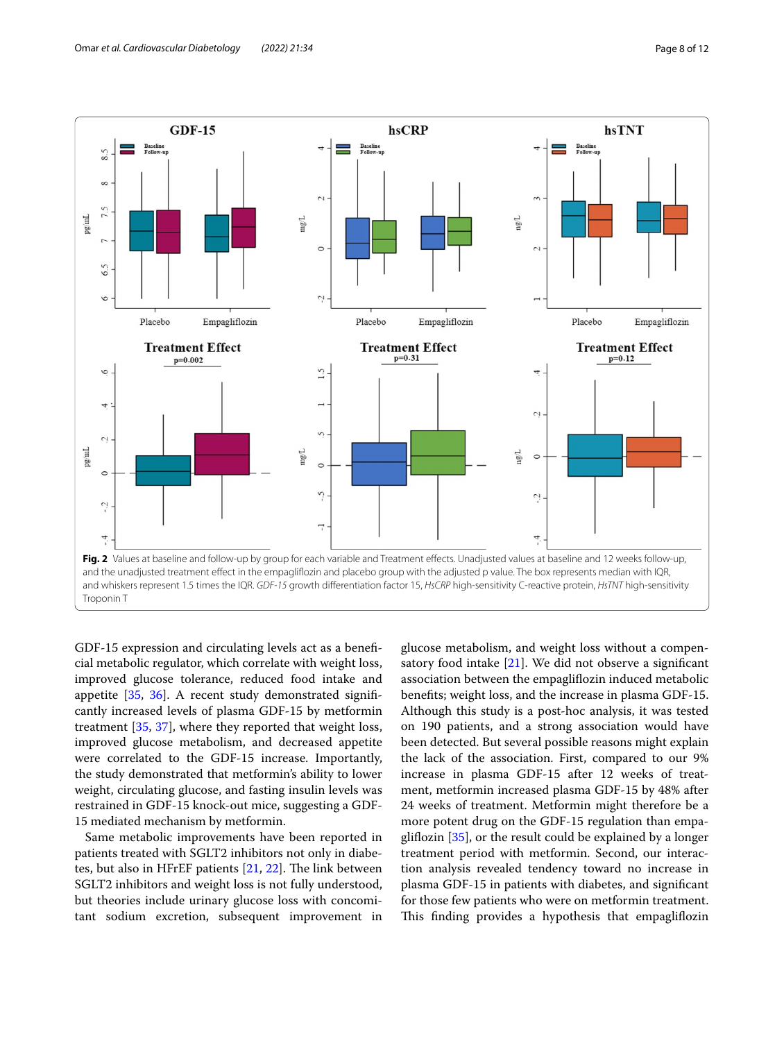

<span id="page-7-0"></span>GDF-15 expression and circulating levels act as a benefcial metabolic regulator, which correlate with weight loss, improved glucose tolerance, reduced food intake and appetite [\[35](#page-11-15), [36\]](#page-11-16). A recent study demonstrated signifcantly increased levels of plasma GDF-15 by metformin treatment [\[35](#page-11-15), [37](#page-11-17)], where they reported that weight loss, improved glucose metabolism, and decreased appetite were correlated to the GDF-15 increase. Importantly, the study demonstrated that metformin's ability to lower weight, circulating glucose, and fasting insulin levels was restrained in GDF-15 knock-out mice, suggesting a GDF-15 mediated mechanism by metformin.

Same metabolic improvements have been reported in patients treated with SGLT2 inhibitors not only in diabetes, but also in HFrEF patients  $[21, 22]$  $[21, 22]$  $[21, 22]$ . The link between SGLT2 inhibitors and weight loss is not fully understood, but theories include urinary glucose loss with concomitant sodium excretion, subsequent improvement in glucose metabolism, and weight loss without a compensatory food intake  $[21]$  $[21]$ . We did not observe a significant association between the empaglifozin induced metabolic benefts; weight loss, and the increase in plasma GDF-15. Although this study is a post-hoc analysis, it was tested on 190 patients, and a strong association would have been detected. But several possible reasons might explain the lack of the association. First, compared to our 9% increase in plasma GDF-15 after 12 weeks of treatment, metformin increased plasma GDF-15 by 48% after 24 weeks of treatment. Metformin might therefore be a more potent drug on the GDF-15 regulation than empaglifozin [\[35](#page-11-15)], or the result could be explained by a longer treatment period with metformin. Second, our interaction analysis revealed tendency toward no increase in plasma GDF-15 in patients with diabetes, and signifcant for those few patients who were on metformin treatment. This finding provides a hypothesis that empagliflozin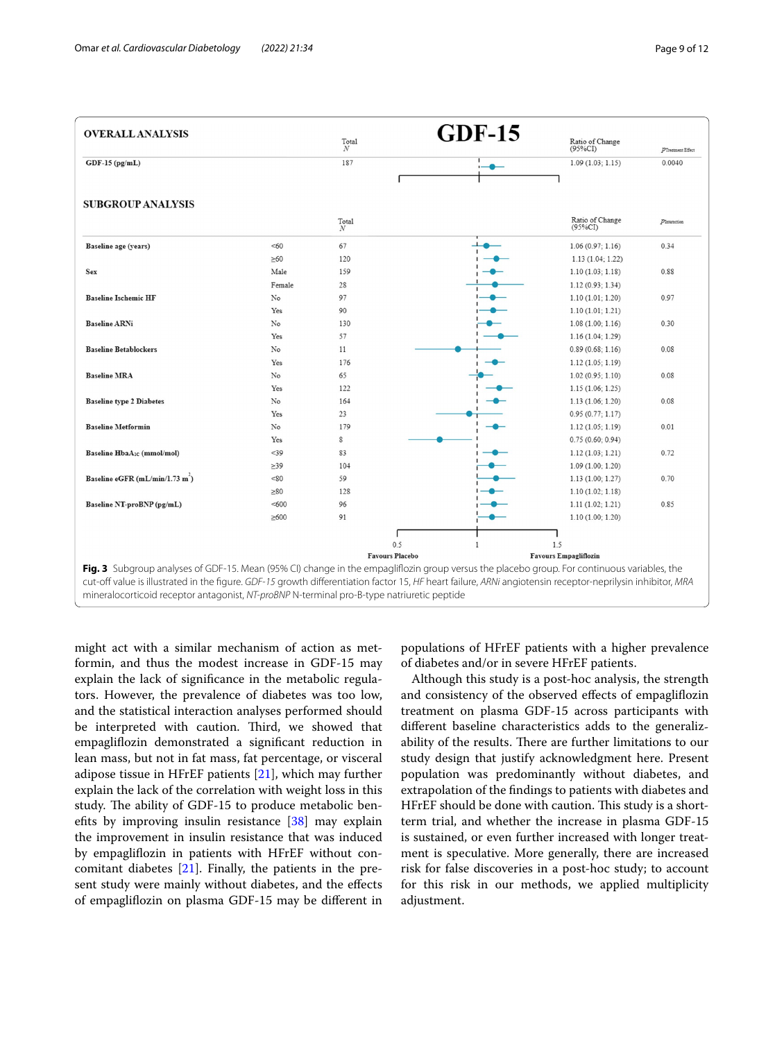

<span id="page-8-0"></span>mineralocorticoid receptor antagonist, *NT-proBNP* N-terminal pro-B-type natriuretic peptide

might act with a similar mechanism of action as metformin, and thus the modest increase in GDF-15 may explain the lack of signifcance in the metabolic regulators. However, the prevalence of diabetes was too low, and the statistical interaction analyses performed should be interpreted with caution. Third, we showed that empaglifozin demonstrated a signifcant reduction in lean mass, but not in fat mass, fat percentage, or visceral adipose tissue in HFrEF patients [\[21\]](#page-11-2), which may further explain the lack of the correlation with weight loss in this study. The ability of GDF-15 to produce metabolic benefts by improving insulin resistance [\[38](#page-11-18)] may explain the improvement in insulin resistance that was induced by empaglifozin in patients with HFrEF without concomitant diabetes [\[21](#page-11-2)]. Finally, the patients in the present study were mainly without diabetes, and the efects of empaglifozin on plasma GDF-15 may be diferent in populations of HFrEF patients with a higher prevalence of diabetes and/or in severe HFrEF patients.

Although this study is a post-hoc analysis, the strength and consistency of the observed efects of empaglifozin treatment on plasma GDF-15 across participants with diferent baseline characteristics adds to the generalizability of the results. There are further limitations to our study design that justify acknowledgment here. Present population was predominantly without diabetes, and extrapolation of the fndings to patients with diabetes and HFrEF should be done with caution. This study is a shortterm trial, and whether the increase in plasma GDF-15 is sustained, or even further increased with longer treatment is speculative. More generally, there are increased risk for false discoveries in a post-hoc study; to account for this risk in our methods, we applied multiplicity adjustment.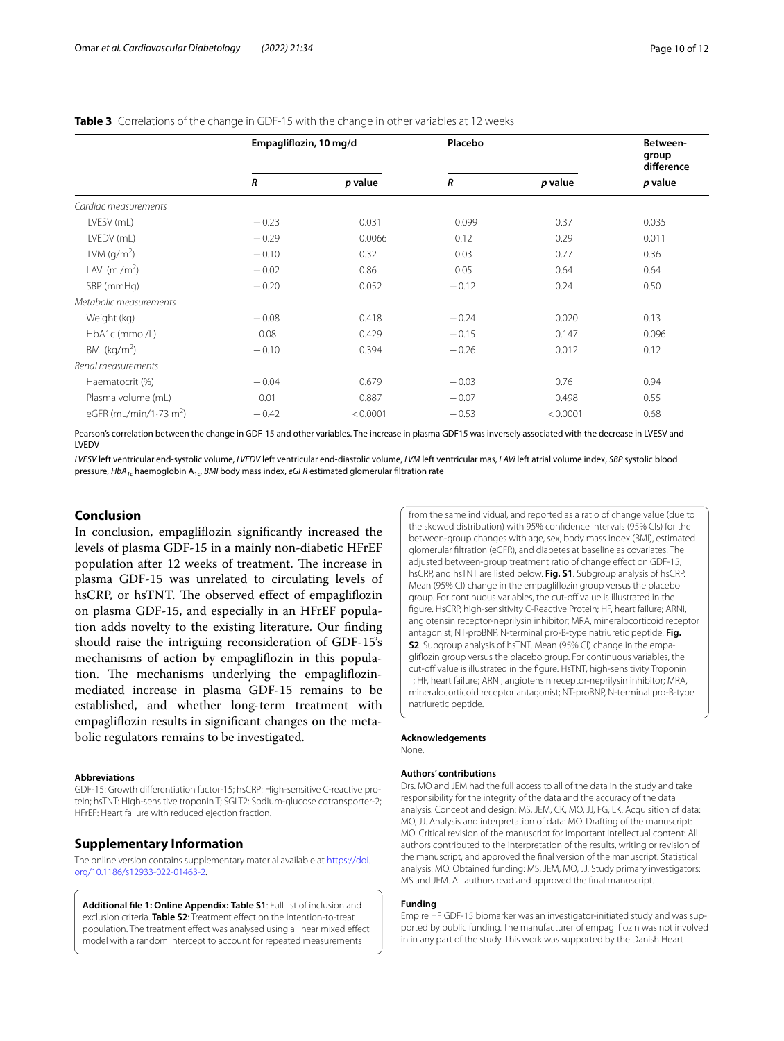# <span id="page-9-1"></span>**Table 3** Correlations of the change in GDF-15 with the change in other variables at 12 weeks

|                                       | Empagliflozin, 10 mg/d |          | Placebo |          | Between-<br>group<br>difference |
|---------------------------------------|------------------------|----------|---------|----------|---------------------------------|
|                                       | $\boldsymbol{R}$       | p value  | R       | p value  | p value                         |
| Cardiac measurements                  |                        |          |         |          |                                 |
| LVESV (mL)                            | $-0.23$                | 0.031    | 0.099   | 0.37     | 0.035                           |
| LVEDV (mL)                            | $-0.29$                | 0.0066   | 0.12    | 0.29     | 0.011                           |
| LVM $(q/m^2)$                         | $-0.10$                | 0.32     | 0.03    | 0.77     | 0.36                            |
| LAVI $(mI/m2)$                        | $-0.02$                | 0.86     | 0.05    | 0.64     | 0.64                            |
| SBP (mmHg)                            | $-0.20$                | 0.052    | $-0.12$ | 0.24     | 0.50                            |
| Metabolic measurements                |                        |          |         |          |                                 |
| Weight (kg)                           | $-0.08$                | 0.418    | $-0.24$ | 0.020    | 0.13                            |
| HbA1c (mmol/L)                        | 0.08                   | 0.429    | $-0.15$ | 0.147    | 0.096                           |
| BMI ( $kg/m2$ )                       | $-0.10$                | 0.394    | $-0.26$ | 0.012    | 0.12                            |
| Renal measurements                    |                        |          |         |          |                                 |
| Haematocrit (%)                       | $-0.04$                | 0.679    | $-0.03$ | 0.76     | 0.94                            |
| Plasma volume (mL)                    | 0.01                   | 0.887    | $-0.07$ | 0.498    | 0.55                            |
| eGFR (mL/min/1 $-73$ m <sup>2</sup> ) | $-0.42$                | < 0.0001 | $-0.53$ | < 0.0001 | 0.68                            |

Pearson's correlation between the change in GDF-15 and other variables. The increase in plasma GDF15 was inversely associated with the decrease in LVESV and **LVEDV** 

*LVESV* left ventricular end-systolic volume, *LVEDV* left ventricular end-diastolic volume, *LVM* left ventricular mas, *LAVi* left atrial volume index, *SBP* systolic blood pressure, *HbA<sub>1c</sub>* haemoglobin A<sub>1c</sub>, *BMI* body mass index, *eGFR* estimated glomerular filtration rate

# **Conclusion**

In conclusion, empaglifozin signifcantly increased the levels of plasma GDF-15 in a mainly non-diabetic HFrEF population after 12 weeks of treatment. The increase in plasma GDF-15 was unrelated to circulating levels of hsCRP, or hsTNT. The observed effect of empagliflozin on plasma GDF-15, and especially in an HFrEF population adds novelty to the existing literature. Our fnding should raise the intriguing reconsideration of GDF-15's mechanisms of action by empaglifozin in this population. The mechanisms underlying the empagliflozinmediated increase in plasma GDF-15 remains to be established, and whether long-term treatment with empaglifozin results in signifcant changes on the metabolic regulators remains to be investigated.

#### **Abbreviations**

GDF-15: Growth diferentiation factor-15; hsCRP: High-sensitive C-reactive protein; hsTNT: High-sensitive troponin T; SGLT2: Sodium-glucose cotransporter-2; HFrEF: Heart failure with reduced ejection fraction.

#### **Supplementary Information**

The online version contains supplementary material available at [https://doi.](https://doi.org/10.1186/s12933-022-01463-2) [org/10.1186/s12933-022-01463-2](https://doi.org/10.1186/s12933-022-01463-2).

<span id="page-9-0"></span>**Additional fle 1: Online Appendix: Table S1**: Full list of inclusion and exclusion criteria. **Table S2**: Treatment effect on the intention-to-treat population. The treatment effect was analysed using a linear mixed effect model with a random intercept to account for repeated measurements

from the same individual, and reported as a ratio of change value (due to the skewed distribution) with 95% confdence intervals (95% CIs) for the between-group changes with age, sex, body mass index (BMI), estimated glomerular fltration (eGFR), and diabetes at baseline as covariates. The adjusted between-group treatment ratio of change effect on GDF-15, hsCRP, and hsTNT are listed below. **Fig. S1**. Subgroup analysis of hsCRP. Mean (95% CI) change in the empaglifozin group versus the placebo group. For continuous variables, the cut-off value is illustrated in the fgure. HsCRP, high-sensitivity C-Reactive Protein; HF, heart failure; ARNi, angiotensin receptor-neprilysin inhibitor; MRA, mineralocorticoid receptor antagonist; NT-proBNP, N-terminal pro-B-type natriuretic peptide. **Fig. S2**. Subgroup analysis of hsTNT. Mean (95% CI) change in the empaglifozin group versus the placebo group. For continuous variables, the cut-off value is illustrated in the figure. HsTNT, high-sensitivity Troponin T; HF, heart failure; ARNi, angiotensin receptor-neprilysin inhibitor; MRA, mineralocorticoid receptor antagonist; NT-proBNP, N-terminal pro-B-type natriuretic peptide.

#### **Acknowledgements**

None.

# **Authors' contributions**

Drs. MO and JEM had the full access to all of the data in the study and take responsibility for the integrity of the data and the accuracy of the data analysis. Concept and design: MS, JEM, CK, MO, JJ, FG, LK. Acquisition of data: MO, JJ. Analysis and interpretation of data: MO. Drafting of the manuscript: MO. Critical revision of the manuscript for important intellectual content: All authors contributed to the interpretation of the results, writing or revision of the manuscript, and approved the fnal version of the manuscript. Statistical analysis: MO. Obtained funding: MS, JEM, MO, JJ. Study primary investigators: MS and JEM. All authors read and approved the fnal manuscript.

#### **Funding**

Empire HF GDF-15 biomarker was an investigator-initiated study and was supported by public funding. The manufacturer of empaglifozin was not involved in in any part of the study. This work was supported by the Danish Heart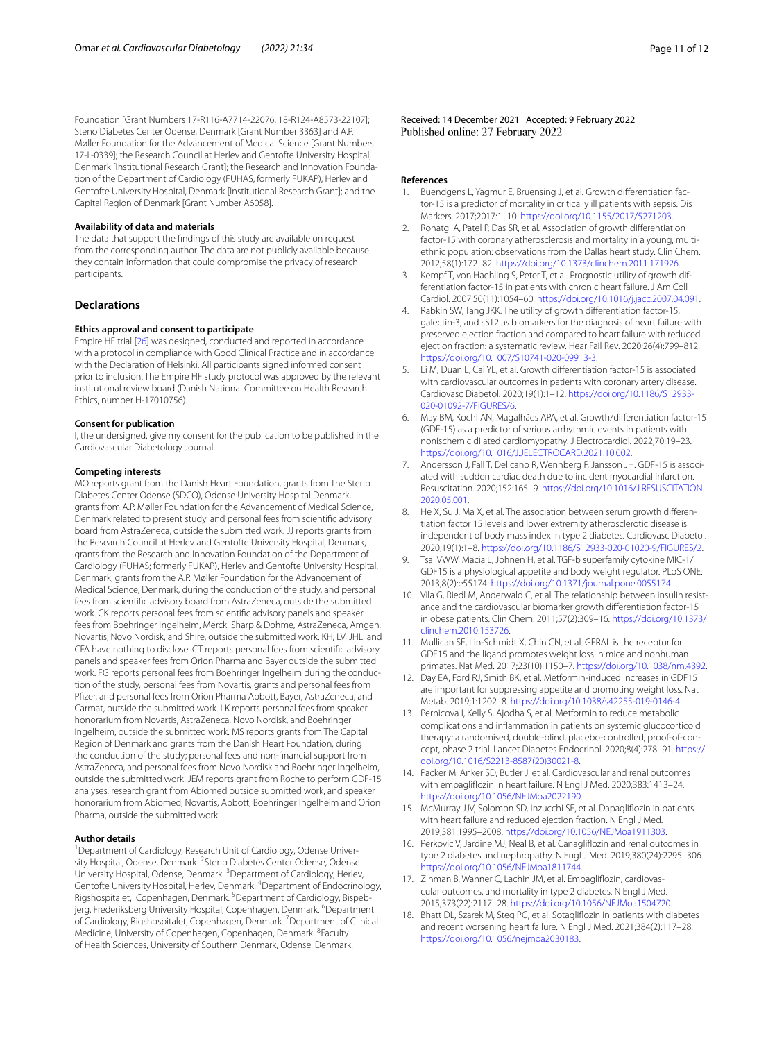Foundation [Grant Numbers 17-R116-A7714-22076, 18-R124-A8573-22107]; Steno Diabetes Center Odense, Denmark [Grant Number 3363] and A.P. Møller Foundation for the Advancement of Medical Science [Grant Numbers 17-L-0339]; the Research Council at Herlev and Gentofte University Hospital, Denmark [Institutional Research Grant]; the Research and Innovation Foundation of the Department of Cardiology (FUHAS, formerly FUKAP), Herlev and Gentofte University Hospital, Denmark [Institutional Research Grant]; and the Capital Region of Denmark [Grant Number A6058].

#### **Availability of data and materials**

The data that support the fndings of this study are available on request from the corresponding author. The data are not publicly available because they contain information that could compromise the privacy of research participants.

#### **Declarations**

#### **Ethics approval and consent to participate**

Empire HF trial [\[26](#page-11-6)] was designed, conducted and reported in accordance with a protocol in compliance with Good Clinical Practice and in accordance with the Declaration of Helsinki. All participants signed informed consent prior to inclusion. The Empire HF study protocol was approved by the relevant institutional review board (Danish National Committee on Health Research Ethics, number H-17010756).

#### **Consent for publication**

I, the undersigned, give my consent for the publication to be published in the Cardiovascular Diabetology Journal.

#### **Competing interests**

MO reports grant from the Danish Heart Foundation, grants from The Steno Diabetes Center Odense (SDCO), Odense University Hospital Denmark, grants from A.P. Møller Foundation for the Advancement of Medical Science, Denmark related to present study, and personal fees from scientifc advisory board from AstraZeneca, outside the submitted work. JJ reports grants from the Research Council at Herlev and Gentofte University Hospital, Denmark, grants from the Research and Innovation Foundation of the Department of Cardiology (FUHAS; formerly FUKAP), Herlev and Gentofte University Hospital, Denmark, grants from the A.P. Møller Foundation for the Advancement of Medical Science, Denmark, during the conduction of the study, and personal fees from scientifc advisory board from AstraZeneca, outside the submitted work. CK reports personal fees from scientifc advisory panels and speaker fees from Boehringer Ingelheim, Merck, Sharp & Dohme, AstraZeneca, Amgen, Novartis, Novo Nordisk, and Shire, outside the submitted work. KH, LV, JHL, and CFA have nothing to disclose. CT reports personal fees from scientifc advisory panels and speaker fees from Orion Pharma and Bayer outside the submitted work. FG reports personal fees from Boehringer Ingelheim during the conduction of the study, personal fees from Novartis, grants and personal fees from Pfzer, and personal fees from Orion Pharma Abbott, Bayer, AstraZeneca, and Carmat, outside the submitted work. LK reports personal fees from speaker honorarium from Novartis, AstraZeneca, Novo Nordisk, and Boehringer Ingelheim, outside the submitted work. MS reports grants from The Capital Region of Denmark and grants from the Danish Heart Foundation, during the conduction of the study; personal fees and non-fnancial support from AstraZeneca, and personal fees from Novo Nordisk and Boehringer Ingelheim, outside the submitted work. JEM reports grant from Roche to perform GDF-15 analyses, research grant from Abiomed outside submitted work, and speaker honorarium from Abiomed, Novartis, Abbott, Boehringer Ingelheim and Orion Pharma, outside the submitted work.

#### **Author details**

<sup>1</sup> Department of Cardiology, Research Unit of Cardiology, Odense University Hospital, Odense, Denmark. <sup>2</sup> Steno Diabetes Center Odense, Odense University Hospital, Odense, Denmark. <sup>3</sup> Department of Cardiology, Herlev, Gentofte University Hospital, Herlev, Denmark. <sup>4</sup> Department of Endocrinology, Rigshospitalet, Copenhagen, Denmark. <sup>5</sup> Department of Cardiology, Bispebjerg, Frederiksberg University Hospital, Copenhagen, Denmark. <sup>6</sup>Department of Cardiology, Rigshospitalet, Copenhagen, Denmark.<sup>7</sup> Department of Clinical Medicine, University of Copenhagen, Copenhagen, Denmark. <sup>8</sup>Faculty of Health Sciences, University of Southern Denmark, Odense, Denmark.

Received: 14 December 2021 Accepted: 9 February 2022

#### **References**

- <span id="page-10-0"></span>Buendgens L, Yagmur E, Bruensing J, et al. Growth differentiation factor-15 is a predictor of mortality in critically ill patients with sepsis. Dis Markers. 2017;2017:1–10. <https://doi.org/10.1155/2017/5271203>.
- <span id="page-10-1"></span>2. Rohatgi A, Patel P, Das SR, et al. Association of growth diferentiation factor-15 with coronary atherosclerosis and mortality in a young, multiethnic population: observations from the Dallas heart study. Clin Chem. 2012;58(1):172–82. [https://doi.org/10.1373/clinchem.2011.171926.](https://doi.org/10.1373/clinchem.2011.171926)
- <span id="page-10-2"></span>3. Kempf T, von Haehling S, Peter T, et al. Prognostic utility of growth differentiation factor-15 in patients with chronic heart failure. J Am Coll Cardiol. 2007;50(11):1054–60.<https://doi.org/10.1016/j.jacc.2007.04.091>.
- 4. Rabkin SW, Tang JKK. The utility of growth diferentiation factor-15, galectin-3, and sST2 as biomarkers for the diagnosis of heart failure with preserved ejection fraction and compared to heart failure with reduced ejection fraction: a systematic review. Hear Fail Rev. 2020;26(4):799–812. [https://doi.org/10.1007/S10741-020-09913-3.](https://doi.org/10.1007/S10741-020-09913-3)
- 5. Li M, Duan L, Cai YL, et al. Growth diferentiation factor-15 is associated with cardiovascular outcomes in patients with coronary artery disease. Cardiovasc Diabetol. 2020;19(1):1–12. [https://doi.org/10.1186/S12933-](https://doi.org/10.1186/S12933-020-01092-7/FIGURES/6) [020-01092-7/FIGURES/6](https://doi.org/10.1186/S12933-020-01092-7/FIGURES/6).
- <span id="page-10-3"></span>6. May BM, Kochi AN, Magalhães APA, et al. Growth/diferentiation factor-15 (GDF-15) as a predictor of serious arrhythmic events in patients with nonischemic dilated cardiomyopathy. J Electrocardiol. 2022;70:19–23. <https://doi.org/10.1016/J.JELECTROCARD.2021.10.002>.
- <span id="page-10-4"></span>Andersson J, Fall T, Delicano R, Wennberg P, Jansson JH. GDF-15 is associated with sudden cardiac death due to incident myocardial infarction. Resuscitation. 2020;152:165–9. [https://doi.org/10.1016/J.RESUSCITATION.](https://doi.org/10.1016/J.RESUSCITATION.2020.05.001) [2020.05.001](https://doi.org/10.1016/J.RESUSCITATION.2020.05.001).
- <span id="page-10-5"></span>8. He X, Su J, Ma X, et al. The association between serum growth differentiation factor 15 levels and lower extremity atherosclerotic disease is independent of body mass index in type 2 diabetes. Cardiovasc Diabetol. 2020;19(1):1–8. <https://doi.org/10.1186/S12933-020-01020-9/FIGURES/2>.
- <span id="page-10-6"></span>9. Tsai VWW, Macia L, Johnen H, et al. TGF-b superfamily cytokine MIC-1/ GDF15 is a physiological appetite and body weight regulator. PLoS ONE. 2013;8(2):e55174. [https://doi.org/10.1371/journal.pone.0055174.](https://doi.org/10.1371/journal.pone.0055174)
- 10. Vila G, Riedl M, Anderwald C, et al. The relationship between insulin resistance and the cardiovascular biomarker growth diferentiation factor-15 in obese patients. Clin Chem. 2011;57(2):309–16. [https://doi.org/10.1373/](https://doi.org/10.1373/clinchem.2010.153726) [clinchem.2010.153726.](https://doi.org/10.1373/clinchem.2010.153726)
- <span id="page-10-7"></span>11. Mullican SE, Lin-Schmidt X, Chin CN, et al. GFRAL is the receptor for GDF15 and the ligand promotes weight loss in mice and nonhuman primates. Nat Med. 2017;23(10):1150–7.<https://doi.org/10.1038/nm.4392>.
- <span id="page-10-8"></span>12. Day EA, Ford RJ, Smith BK, et al. Metformin-induced increases in GDF15 are important for suppressing appetite and promoting weight loss. Nat Metab. 2019;1:1202–8. [https://doi.org/10.1038/s42255-019-0146-4.](https://doi.org/10.1038/s42255-019-0146-4)
- <span id="page-10-9"></span>13. Pernicova I, Kelly S, Ajodha S, et al. Metformin to reduce metabolic complications and infammation in patients on systemic glucocorticoid therapy: a randomised, double-blind, placebo-controlled, proof-of-concept, phase 2 trial. Lancet Diabetes Endocrinol. 2020;8(4):278–91. [https://](https://doi.org/10.1016/S2213-8587(20)30021-8) [doi.org/10.1016/S2213-8587\(20\)30021-8.](https://doi.org/10.1016/S2213-8587(20)30021-8)
- <span id="page-10-10"></span>14. Packer M, Anker SD, Butler J, et al. Cardiovascular and renal outcomes with empaglifozin in heart failure. N Engl J Med. 2020;383:1413–24. <https://doi.org/10.1056/NEJMoa2022190>.
- 15. McMurray JJV, Solomon SD, Inzucchi SE, et al. Dapaglifozin in patients with heart failure and reduced ejection fraction. N Engl J Med. 2019;381:1995–2008. [https://doi.org/10.1056/NEJMoa1911303.](https://doi.org/10.1056/NEJMoa1911303)
- 16. Perkovic V, Jardine MJ, Neal B, et al. Canaglifozin and renal outcomes in type 2 diabetes and nephropathy. N Engl J Med. 2019;380(24):2295–306. <https://doi.org/10.1056/NEJMoa1811744>.
- 17. Zinman B, Wanner C, Lachin JM, et al. Empaglifozin, cardiovascular outcomes, and mortality in type 2 diabetes. N Engl J Med. 2015;373(22):2117–28. [https://doi.org/10.1056/NEJMoa1504720.](https://doi.org/10.1056/NEJMoa1504720)
- 18. Bhatt DL, Szarek M, Steg PG, et al. Sotaglifozin in patients with diabetes and recent worsening heart failure. N Engl J Med. 2021;384(2):117–28. [https://doi.org/10.1056/nejmoa2030183.](https://doi.org/10.1056/nejmoa2030183)